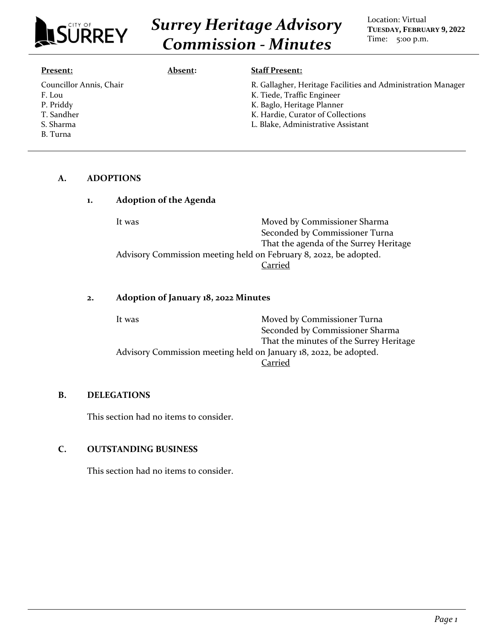

# *Surrey Heritage Advisory Commission - Minutes*

Location: Virtual **TUESDAY, FEBRUARY 9, 2022** Time: 5:00 p.m.

| Present:                                                                  | Absent: | <b>Staff Present:</b>                                                                                                                                                                               |
|---------------------------------------------------------------------------|---------|-----------------------------------------------------------------------------------------------------------------------------------------------------------------------------------------------------|
| Councillor Annis, Chair<br>F. Lou<br>P. Priddy<br>T. Sandher<br>S. Sharma |         | R. Gallagher, Heritage Facilities and Administration Manager<br>K. Tiede, Traffic Engineer<br>K. Baglo, Heritage Planner<br>K. Hardie, Curator of Collections<br>L. Blake, Administrative Assistant |
| B. Turna                                                                  |         |                                                                                                                                                                                                     |

#### **A. ADOPTIONS**

| 1. | <b>Adoption of the Agenda</b> |                                                                   |  |
|----|-------------------------------|-------------------------------------------------------------------|--|
|    | It was                        | Moved by Commissioner Sharma                                      |  |
|    |                               | Seconded by Commissioner Turna                                    |  |
|    |                               | That the agenda of the Surrey Heritage                            |  |
|    |                               | Advisory Commission meeting held on February 8, 2022, be adopted. |  |
|    |                               | Carried                                                           |  |
|    |                               |                                                                   |  |
|    |                               |                                                                   |  |

# **2. Adoption of January 18, 2022 Minutes**

| It was                                                            | Moved by Commissioner Turna             |  |
|-------------------------------------------------------------------|-----------------------------------------|--|
|                                                                   | Seconded by Commissioner Sharma         |  |
|                                                                   | That the minutes of the Surrey Heritage |  |
| Advisory Commission meeting held on January 18, 2022, be adopted. |                                         |  |
|                                                                   | Carried                                 |  |

# **B. DELEGATIONS**

This section had no items to consider.

# **C. OUTSTANDING BUSINESS**

This section had no items to consider.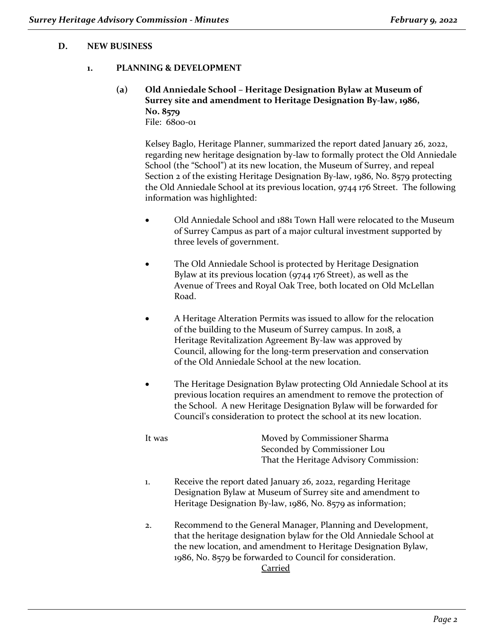#### **D. NEW BUSINESS**

#### **1. PLANNING & DEVELOPMENT**

### **(a) Old Anniedale School – Heritage Designation Bylaw at Museum of Surrey site and amendment to Heritage Designation By-law, 1986, No. 8579** File: 6800-01

Kelsey Baglo, Heritage Planner, summarized the report dated January 26, 2022, regarding new heritage designation by-law to formally protect the Old Anniedale School (the "School") at its new location, the Museum of Surrey, and repeal Section 2 of the existing Heritage Designation By-law, 1986, No. 8579 protecting the Old Anniedale School at its previous location, 9744 176 Street. The following information was highlighted:

- Old Anniedale School and 1881 Town Hall were relocated to the Museum of Surrey Campus as part of a major cultural investment supported by three levels of government.
- The Old Anniedale School is protected by Heritage Designation Bylaw at its previous location (9744 176 Street), as well as the Avenue of Trees and Royal Oak Tree, both located on Old McLellan Road.
- A Heritage Alteration Permits was issued to allow for the relocation of the building to the Museum of Surrey campus. In 2018, a Heritage Revitalization Agreement By-law was approved by Council, allowing for the long-term preservation and conservation of the Old Anniedale School at the new location.
- The Heritage Designation Bylaw protecting Old Anniedale School at its previous location requires an amendment to remove the protection of the School. A new Heritage Designation Bylaw will be forwarded for Council's consideration to protect the school at its new location.

It was Moved by Commissioner Sharma Seconded by Commissioner Lou That the Heritage Advisory Commission:

- 1. Receive the report dated January 26, 2022, regarding Heritage Designation Bylaw at Museum of Surrey site and amendment to Heritage Designation By-law, 1986, No. 8579 as information;
- 2. Recommend to the General Manager, Planning and Development, that the heritage designation bylaw for the Old Anniedale School at the new location, and amendment to Heritage Designation Bylaw, 1986, No. 8579 be forwarded to Council for consideration. Carried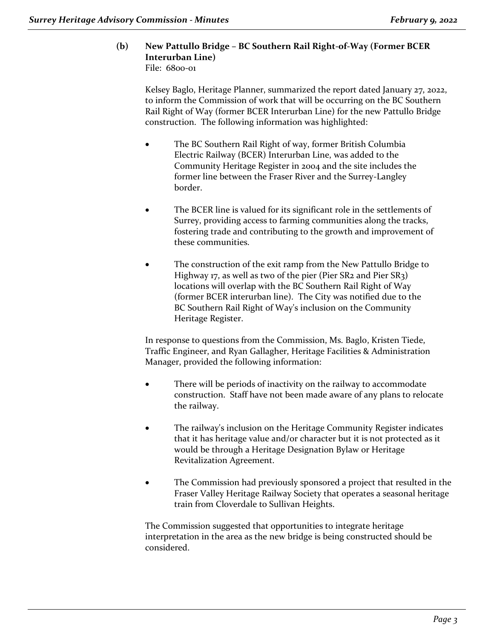#### **(b) New Pattullo Bridge – BC Southern Rail Right-of-Way (Former BCER Interurban Line)** File: 6800-01

Kelsey Baglo, Heritage Planner, summarized the report dated January 27, 2022, to inform the Commission of work that will be occurring on the BC Southern Rail Right of Way (former BCER Interurban Line) for the new Pattullo Bridge construction. The following information was highlighted:

- The BC Southern Rail Right of way, former British Columbia Electric Railway (BCER) Interurban Line, was added to the Community Heritage Register in 2004 and the site includes the former line between the Fraser River and the Surrey-Langley border.
- The BCER line is valued for its significant role in the settlements of Surrey, providing access to farming communities along the tracks, fostering trade and contributing to the growth and improvement of these communities.
- The construction of the exit ramp from the New Pattullo Bridge to Highway 17, as well as two of the pier (Pier SR2 and Pier SR3) locations will overlap with the BC Southern Rail Right of Way (former BCER interurban line). The City was notified due to the BC Southern Rail Right of Way's inclusion on the Community Heritage Register.

In response to questions from the Commission, Ms. Baglo, Kristen Tiede, Traffic Engineer, and Ryan Gallagher, Heritage Facilities & Administration Manager, provided the following information:

- There will be periods of inactivity on the railway to accommodate construction. Staff have not been made aware of any plans to relocate the railway.
- The railway's inclusion on the Heritage Community Register indicates that it has heritage value and/or character but it is not protected as it would be through a Heritage Designation Bylaw or Heritage Revitalization Agreement.
- The Commission had previously sponsored a project that resulted in the Fraser Valley Heritage Railway Society that operates a seasonal heritage train from Cloverdale to Sullivan Heights.

The Commission suggested that opportunities to integrate heritage interpretation in the area as the new bridge is being constructed should be considered.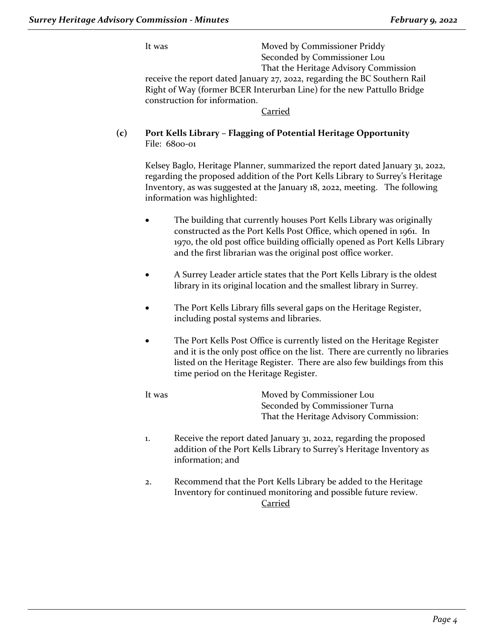It was Moved by Commissioner Priddy Seconded by Commissioner Lou That the Heritage Advisory Commission

receive the report dated January 27, 2022, regarding the BC Southern Rail Right of Way (former BCER Interurban Line) for the new Pattullo Bridge construction for information.

# Carried

# **(c) Port Kells Library – Flagging of Potential Heritage Opportunity** File: 6800-01

Kelsey Baglo, Heritage Planner, summarized the report dated January 31, 2022, regarding the proposed addition of the Port Kells Library to Surrey's Heritage Inventory, as was suggested at the January 18, 2022, meeting. The following information was highlighted:

- The building that currently houses Port Kells Library was originally constructed as the Port Kells Post Office, which opened in 1961. In 1970, the old post office building officially opened as Port Kells Library and the first librarian was the original post office worker.
- A Surrey Leader article states that the Port Kells Library is the oldest library in its original location and the smallest library in Surrey.
- The Port Kells Library fills several gaps on the Heritage Register, including postal systems and libraries.
- The Port Kells Post Office is currently listed on the Heritage Register and it is the only post office on the list. There are currently no libraries listed on the Heritage Register. There are also few buildings from this time period on the Heritage Register.

It was Moved by Commissioner Lou Seconded by Commissioner Turna That the Heritage Advisory Commission:

- 1. Receive the report dated January 31, 2022, regarding the proposed addition of the Port Kells Library to Surrey's Heritage Inventory as information; and
- 2. Recommend that the Port Kells Library be added to the Heritage Inventory for continued monitoring and possible future review. Carried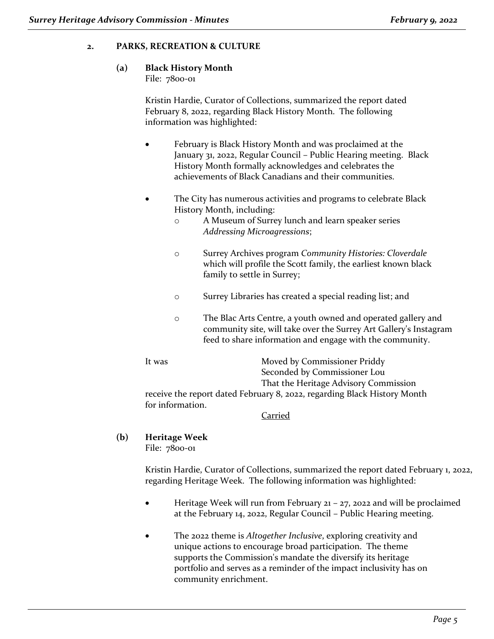# **2. PARKS, RECREATION & CULTURE**

# **(a) Black History Month**

File: 7800-01

Kristin Hardie, Curator of Collections, summarized the report dated February 8, 2022, regarding Black History Month. The following information was highlighted:

- February is Black History Month and was proclaimed at the January 31, 2022, Regular Council – Public Hearing meeting. Black History Month formally acknowledges and celebrates the achievements of Black Canadians and their communities.
- The City has numerous activities and programs to celebrate Black History Month, including:
	- o A Museum of Surrey lunch and learn speaker series *Addressing Microagressions*;
	- o Surrey Archives program *Community Histories: Cloverdale* which will profile the Scott family, the earliest known black family to settle in Surrey;
	- o Surrey Libraries has created a special reading list; and
	- o The Blac Arts Centre, a youth owned and operated gallery and community site, will take over the Surrey Art Gallery's Instagram feed to share information and engage with the community.

It was Moved by Commissioner Priddy Seconded by Commissioner Lou That the Heritage Advisory Commission receive the report dated February 8, 2022, regarding Black History Month for information.

# Carried

**(b) Heritage Week** File: 7800-01

> Kristin Hardie, Curator of Collections, summarized the report dated February 1, 2022, regarding Heritage Week. The following information was highlighted:

- Heritage Week will run from February  $21 27$ , 2022 and will be proclaimed at the February 14, 2022, Regular Council – Public Hearing meeting.
- The 2022 theme is *Altogether Inclusive*, exploring creativity and unique actions to encourage broad participation. The theme supports the Commission's mandate the diversify its heritage portfolio and serves as a reminder of the impact inclusivity has on community enrichment.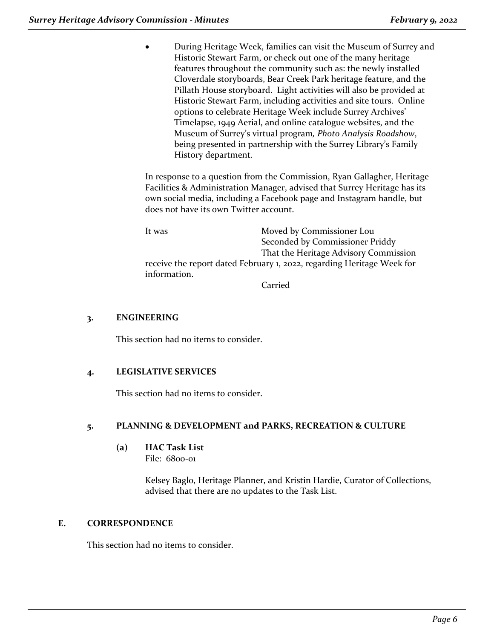• During Heritage Week, families can visit the Museum of Surrey and Historic Stewart Farm, or check out one of the many heritage features throughout the community such as: the newly installed Cloverdale storyboards, Bear Creek Park heritage feature, and the Pillath House storyboard. Light activities will also be provided at Historic Stewart Farm, including activities and site tours. Online options to celebrate Heritage Week include Surrey Archives' Timelapse, 1949 Aerial, and online catalogue websites, and the Museum of Surrey's virtual program*, Photo Analysis Roadshow*, being presented in partnership with the Surrey Library's Family History department.

In response to a question from the Commission, Ryan Gallagher, Heritage Facilities & Administration Manager, advised that Surrey Heritage has its own social media, including a Facebook page and Instagram handle, but does not have its own Twitter account.

It was Moved by Commissioner Lou Seconded by Commissioner Priddy That the Heritage Advisory Commission receive the report dated February 1, 2022, regarding Heritage Week for information.

Carried

# **3. ENGINEERING**

This section had no items to consider.

# **4. LEGISLATIVE SERVICES**

This section had no items to consider.

# **5. PLANNING & DEVELOPMENT and PARKS, RECREATION & CULTURE**

# **(a) HAC Task List**

File: 6800-01

Kelsey Baglo, Heritage Planner, and Kristin Hardie, Curator of Collections, advised that there are no updates to the Task List.

# **E. CORRESPONDENCE**

This section had no items to consider.